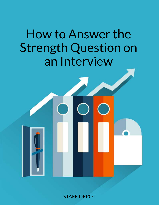# How to Answer the Strength Question on an Interview

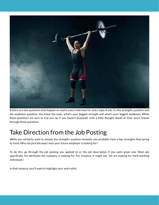

If there are two questions that happen on nearly every interview for every type of job, it's the strengths question and the weakness question. You know the ones…what's your biggest strength and what's your biggest weakness. While these questions are sure to trip you up if you haven't prepared, with a little thought ahead of time, you'll breeze through these questions.

#### Take Direction from the Job Posting

While you certainly want to answer the strengths question honestly, you probably have a few strengths that spring to mind. Why not pick the exact ones your future employer is looking for?

To do this, go through the job posting you applied to or the job description if you were given one. Most ads specifically list attributes the company is looking for. For instance, it might say "we are looking for hard-working individuals."

In that instance, you'll want to highlight your work ethic.